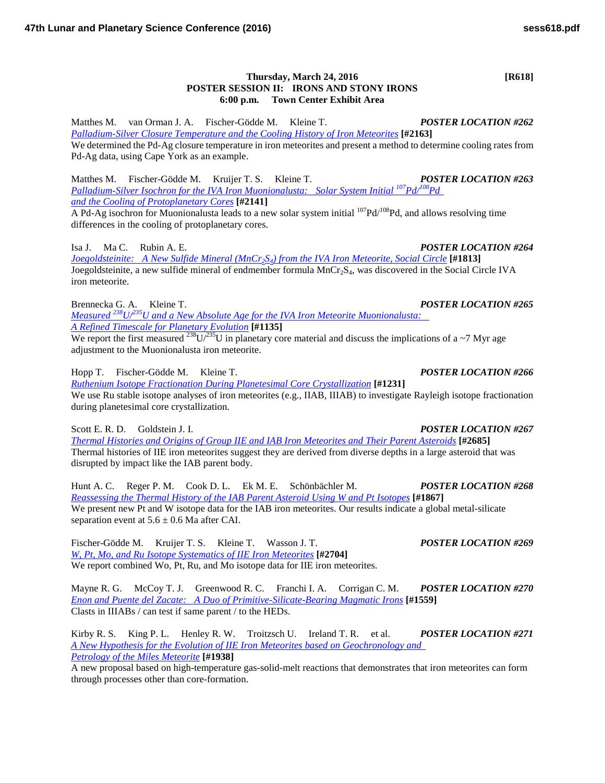## **Thursday, March 24, 2016 [R618] POSTER SESSION II: IRONS AND STONY IRONS 6:00 p.m. Town Center Exhibit Area**

Matthes M. van Orman J. A. Fischer-Gödde M. Kleine T. *POSTER LOCATION #262 [Palladium-Silver Closure Temperature and the Cooling History of Iron](http://www.hou.usra.edu/meetings/lpsc2016/pdf/2163.pdf) Meteorites* **[#2163]** We determined the Pd-Ag closure temperature in iron meteorites and present a method to determine cooling rates from Pd-Ag data, using Cape York as an example.

Matthes M. Fischer-Gödde M. Kruijer T. S. Kleine T. *POSTER LOCATION #263 Palladium-Silver Isochron for the IVA Iron Muonionalusta: Solar System Initial*  $^{107}Pd^{108}Pd$ *[and the Cooling of Protoplanetary](http://www.hou.usra.edu/meetings/lpsc2016/pdf/2141.pdf) Cores* **[#2141]**

A Pd-Ag isochron for Muonionalusta leads to a new solar system initial  $107Pd/108Pd$ , and allows resolving time differences in the cooling of protoplanetary cores.

Isa J. Ma C. Rubin A. E. *POSTER LOCATION #264 [Joegoldsteinite: A New Sulfide Mineral \(MnCr2S4\) from the IVA Iron Meteorite, Social](http://www.hou.usra.edu/meetings/lpsc2016/pdf/1813.pdf) Circle* **[#1813]** Joegoldsteinite, a new sulfide mineral of endmember formula MnCr<sub>2</sub>S<sub>4</sub>, was discovered in the Social Circle IVA iron meteorite.

Brennecka G. A. Kleine T. *POSTER LOCATION #265 Measured [238U/235U and a New Absolute Age for the IVA Iron Meteorite Muonionalusta:](http://www.hou.usra.edu/meetings/lpsc2016/pdf/1135.pdf)  [A Refined Timescale for Planetary](http://www.hou.usra.edu/meetings/lpsc2016/pdf/1135.pdf) Evolution* **[#1135]**

We report the first measured <sup>238</sup>U/<sup>235</sup>U in planetary core material and discuss the implications of a ~7 Myr age adjustment to the Muonionalusta iron meteorite.

Hopp T. Fischer-Gödde M. Kleine T. *POSTER LOCATION #266 [Ruthenium Isotope Fractionation During Planetesimal Core](http://www.hou.usra.edu/meetings/lpsc2016/pdf/1231.pdf) Crystallization* **[#1231]** We use Ru stable isotope analyses of iron meteorites (e.g., IIAB, IIIAB) to investigate Rayleigh isotope fractionation during planetesimal core crystallization.

Scott E. R. D. Goldstein J. I. *POSTER LOCATION #267*

*[Thermal Histories and Origins of Group IIE and IAB Iron Meteorites and Their Parent](http://www.hou.usra.edu/meetings/lpsc2016/pdf/2685.pdf) Asteroids* **[#2685]** Thermal histories of IIE iron meteorites suggest they are derived from diverse depths in a large asteroid that was disrupted by impact like the IAB parent body.

Hunt A. C. Reger P. M. Cook D. L. Ek M. E. Schönbächler M. *POSTER LOCATION #268 [Reassessing the Thermal History of the IAB Parent Asteroid Using W and Pt](http://www.hou.usra.edu/meetings/lpsc2016/pdf/1867.pdf) Isotopes* **[#1867]** We present new Pt and W isotope data for the IAB iron meteorites. Our results indicate a global metal-silicate separation event at  $5.6 \pm 0.6$  Ma after CAI.

Fischer-Gödde M. Kruijer T. S. Kleine T. Wasson J. T. *POSTER LOCATION #269 [W, Pt, Mo, and Ru Isotope Systematics of IIE](http://www.hou.usra.edu/meetings/lpsc2016/pdf/2704.pdf) Iron Meteorites* **[#2704]** We report combined Wo, Pt, Ru, and Mo isotope data for IIE iron meteorites.

Mayne R. G. McCoy T. J. Greenwood R. C. Franchi I. A. Corrigan C. M. *POSTER LOCATION #270 [Enon and Puente del Zacate: A Duo of Primitive-Silicate-Bearing Magmatic](http://www.hou.usra.edu/meetings/lpsc2016/pdf/1559.pdf) Irons* **[#1559]** Clasts in IIIABs / can test if same parent / to the HEDs.

Kirby R. S. King P. L. Henley R. W. Troitzsch U. Ireland T. R. et al. *POSTER LOCATION #271 [A New Hypothesis for the Evolution of IIE Iron Meteorites based on Geochronology and](http://www.hou.usra.edu/meetings/lpsc2016/pdf/1938.pdf)  [Petrology of the Miles](http://www.hou.usra.edu/meetings/lpsc2016/pdf/1938.pdf) Meteorite* **[#1938]**

A new proposal based on high-temperature gas-solid-melt reactions that demonstrates that iron meteorites can form through processes other than core-formation.